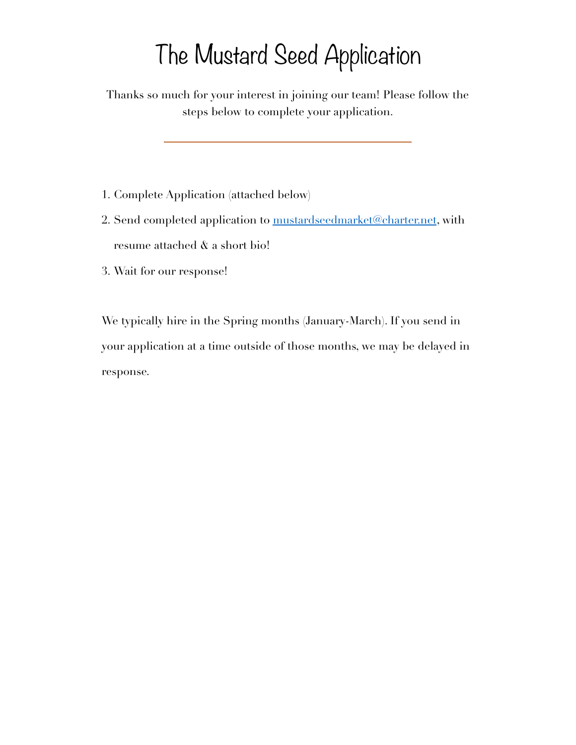# The Mustard Seed Application

Thanks so much for your interest in joining our team! Please follow the steps below to complete your application.

- 1. Complete Application (attached below)
- 2. Send completed application to [mustardseedmarket@charter.net](mailto:mustardseedmarket@charter.net), with resume attached & a short bio!
- 3. Wait for our response!

We typically hire in the Spring months (January-March). If you send in your application at a time outside of those months, we may be delayed in response.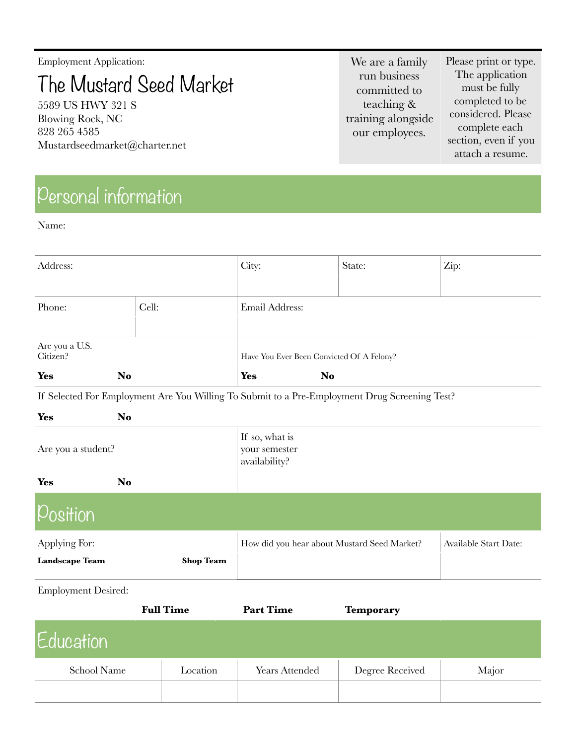Employment Application:

The Mustard Seed Market

5589 US HWY 321 S Blowing Rock, NC 828 265 4585 Mustardseedmarket@charter.net

Personal information

Name:

We are a family run business committed to teaching & training alongside our employees.

Please print or type. The application must be fully completed to be considered. Please complete each section, even if you attach a resume.

| Address:                   |       | City:                                     | State: | Zip: |
|----------------------------|-------|-------------------------------------------|--------|------|
| Phone:                     | Cell: | Email Address:                            |        |      |
| Are you a U.S.<br>Citizen? |       | Have You Ever Been Convicted Of A Felony? |        |      |
| <b>Yes</b><br>No           |       | <b>Yes</b><br><b>No</b>                   |        |      |

If Selected For Employment Are You Willing To Submit to a Pre-Employment Drug Screening Test?

| <b>Yes</b>                             | <b>No</b> |                  |                                                  |                              |
|----------------------------------------|-----------|------------------|--------------------------------------------------|------------------------------|
| Are you a student?                     |           |                  | If so, what is<br>your semester<br>availability? |                              |
| <b>Yes</b>                             | <b>No</b> |                  |                                                  |                              |
| Position                               |           |                  |                                                  |                              |
| Applying For:<br><b>Landscape Team</b> |           | <b>Shop Team</b> | How did you hear about Mustard Seed Market?      | <b>Available Start Date:</b> |

Employment Desired:

|             | <b>Full Time</b> | <b>Part Time</b>      | <b>Temporary</b> |       |
|-------------|------------------|-----------------------|------------------|-------|
| Education   |                  |                       |                  |       |
| School Name | Location         | <b>Years Attended</b> | Degree Received  | Major |
|             |                  |                       |                  |       |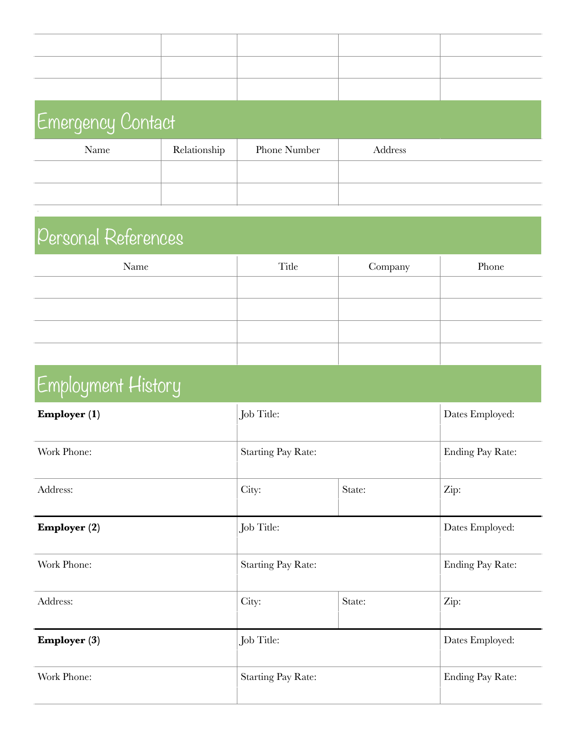| <b>Emergency Contact</b> |              |              |         |  |
|--------------------------|--------------|--------------|---------|--|
| Name                     | Relationship | Phone Number | Address |  |
|                          |              |              |         |  |
|                          |              |              |         |  |

## Personal References

| Name | Title | Company | Phone |
|------|-------|---------|-------|
|      |       |         |       |
|      |       |         |       |
|      |       |         |       |
|      |       |         |       |

## Employment History

| Employer (1)          | Job Title:                |        | Dates Employed:         |
|-----------------------|---------------------------|--------|-------------------------|
| Work Phone:           | <b>Starting Pay Rate:</b> |        | Ending Pay Rate:        |
| Address:              | City:                     | State: | Zip:                    |
| <b>Employer</b> $(2)$ | Job Title:                |        | Dates Employed:         |
| Work Phone:           | <b>Starting Pay Rate:</b> |        | <b>Ending Pay Rate:</b> |
| Address:              | City:                     | State: | Zip:                    |
| <b>Employer (3)</b>   | Job Title:                |        | Dates Employed:         |
| Work Phone:           | <b>Starting Pay Rate:</b> |        | <b>Ending Pay Rate:</b> |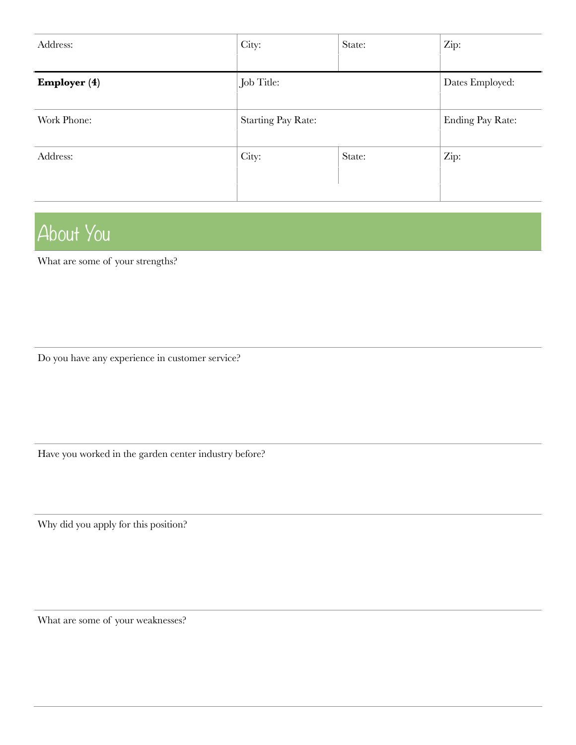| Address:            | City:                     | State: | Zip:                    |
|---------------------|---------------------------|--------|-------------------------|
| <b>Employer (4)</b> | Job Title:                |        | Dates Employed:         |
| Work Phone:         | <b>Starting Pay Rate:</b> |        | <b>Ending Pay Rate:</b> |
| Address:            | City:                     | State: | Zip:                    |

## About You

What are some of your strengths?

Do you have any experience in customer service?

Have you worked in the garden center industry before?

Why did you apply for this position?

What are some of your weaknesses?